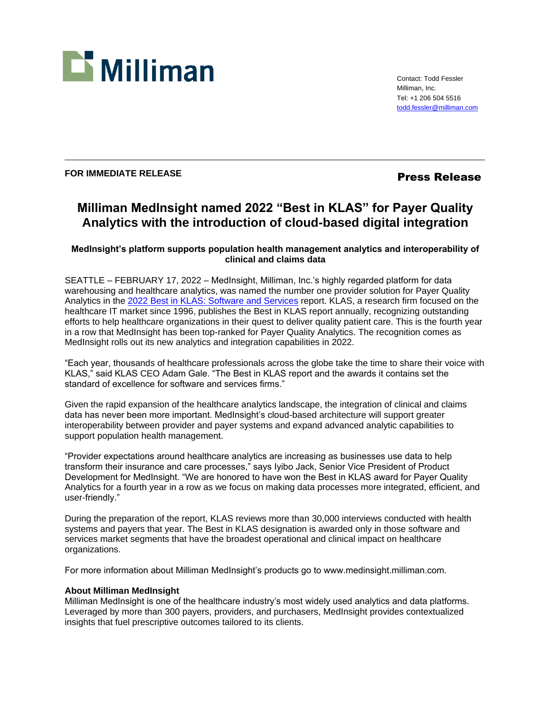

Contact: Todd Fessler Milliman, Inc. Tel: +1 206 504 5516 [todd.fessler@milliman.com](mailto:todd.fessler@milliman.com)

## FOR IMMEDIATE RELEASE **FOR IMMEDIATE RELEASE**

# **Milliman MedInsight named 2022 "Best in KLAS" for Payer Quality Analytics with the introduction of cloud-based digital integration**

### **MedInsight's platform supports population health management analytics and interoperability of clinical and claims data**

SEATTLE – FEBRUARY 17, 2022 – MedInsight, Milliman, Inc.'s highly regarded platform for data warehousing and healthcare analytics, was named the number one provider solution for Payer Quality Analytics in the [2022 Best in KLAS: Software and Services](https://klasresearch.com/best-in-klas-ranking/payer-quality-analytics/2022/323) report. KLAS, a research firm focused on the healthcare IT market since 1996, publishes the Best in KLAS report annually, recognizing outstanding efforts to help healthcare organizations in their quest to deliver quality patient care. This is the fourth year in a row that MedInsight has been top-ranked for Payer Quality Analytics. The recognition comes as MedInsight rolls out its new analytics and integration capabilities in 2022.

"Each year, thousands of healthcare professionals across the globe take the time to share their voice with KLAS," said KLAS CEO Adam Gale. "The Best in KLAS report and the awards it contains set the standard of excellence for software and services firms."

Given the rapid expansion of the healthcare analytics landscape, the integration of clinical and claims data has never been more important. MedInsight's cloud-based architecture will support greater interoperability between provider and payer systems and expand advanced analytic capabilities to support population health management.

"Provider expectations around healthcare analytics are increasing as businesses use data to help transform their insurance and care processes," says Iyibo Jack, Senior Vice President of Product Development for MedInsight. "We are honored to have won the Best in KLAS award for Payer Quality Analytics for a fourth year in a row as we focus on making data processes more integrated, efficient, and user-friendly."

During the preparation of the report, KLAS reviews more than 30,000 interviews conducted with health systems and payers that year. The Best in KLAS designation is awarded only in those software and services market segments that have the broadest operational and clinical impact on healthcare organizations.

For more information about Milliman MedInsight's products go to www.medinsight.milliman.com.

#### **About Milliman MedInsight**

Milliman MedInsight is one of the healthcare industry's most widely used analytics and data platforms. Leveraged by more than 300 payers, providers, and purchasers, MedInsight provides contextualized insights that fuel prescriptive outcomes tailored to its clients.